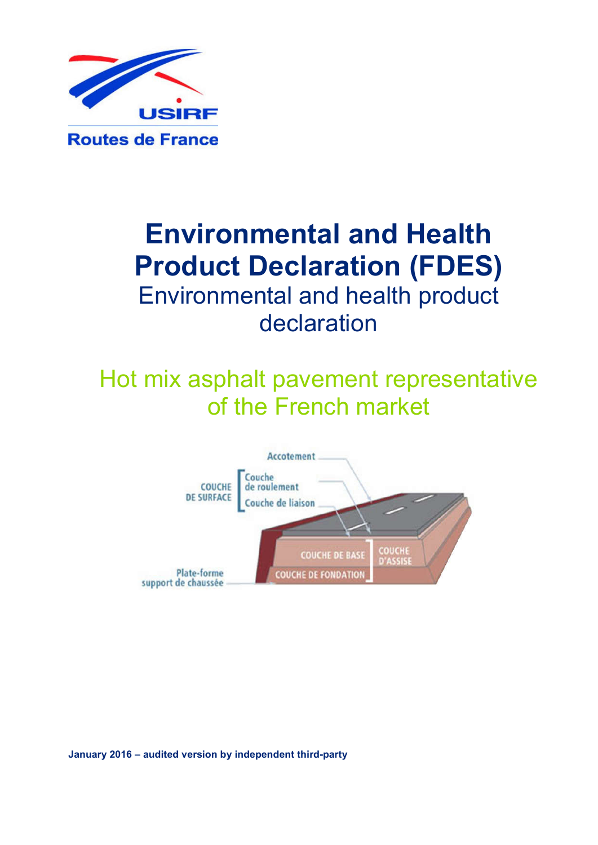

# Environmental and Health Product Declaration (FDES) Environmental and health product declaration

# Hot mix asphalt pavement representative of the French market



January 2016 – audited version by independent third-party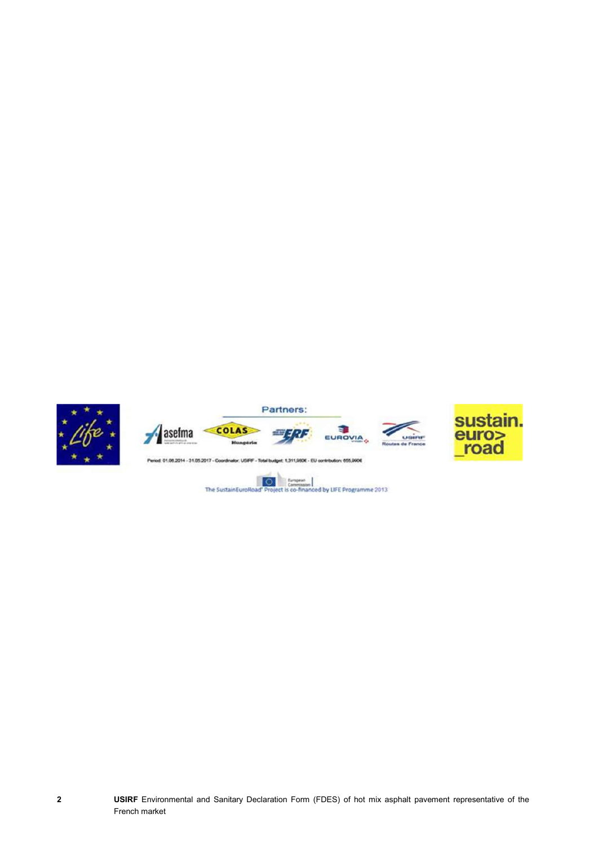

 $\overline{\circ}$  $\frac{1}{2}$ d by LIFE Programme 2013 The SustainEuroRo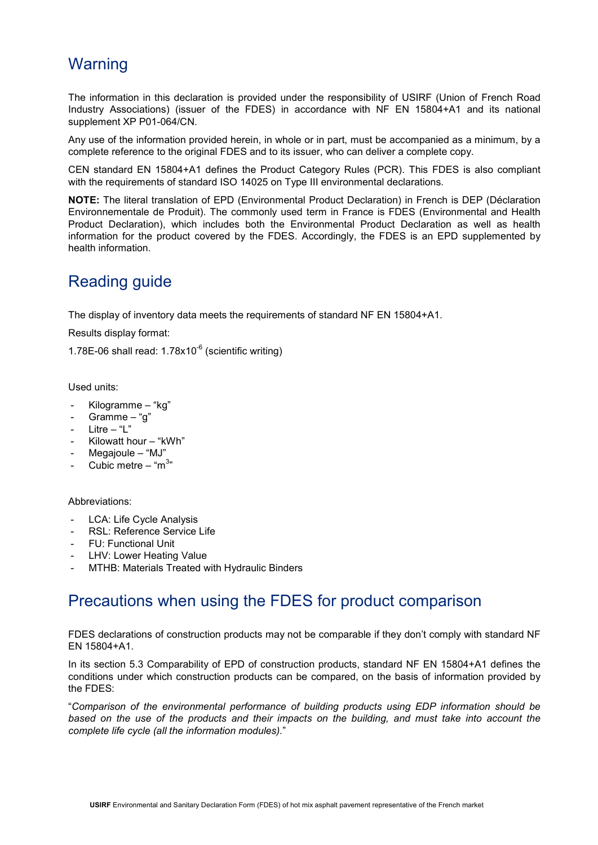### **Warning**

The information in this declaration is provided under the responsibility of USIRF (Union of French Road Industry Associations) (issuer of the FDES) in accordance with NF EN 15804+A1 and its national supplement XP P01-064/CN.

Any use of the information provided herein, in whole or in part, must be accompanied as a minimum, by a complete reference to the original FDES and to its issuer, who can deliver a complete copy.

CEN standard EN 15804+A1 defines the Product Category Rules (PCR). This FDES is also compliant with the requirements of standard ISO 14025 on Type III environmental declarations.

NOTE: The literal translation of EPD (Environmental Product Declaration) in French is DEP (Déclaration Environnementale de Produit). The commonly used term in France is FDES (Environmental and Health Product Declaration), which includes both the Environmental Product Declaration as well as health information for the product covered by the FDES. Accordingly, the FDES is an EPD supplemented by health information.

### Reading guide

The display of inventory data meets the requirements of standard NF EN 15804+A1.

Results display format:

1.78E-06 shall read: 1.78x10<sup>-6</sup> (scientific writing)

Used units:

- Kilogramme "kg"
- Gramme  $-$  "g"
- Litre  $-$  "L"
- Kilowatt hour "kWh"
- Megajoule "MJ"
- Cubic metre "m $3"$

### Abbreviations:

- LCA: Life Cycle Analysis
- RSL: Reference Service Life
- FU: Functional Unit
- LHV: Lower Heating Value
- MTHB: Materials Treated with Hydraulic Binders

### Precautions when using the FDES for product comparison

FDES declarations of construction products may not be comparable if they don't comply with standard NF EN 15804+A1.

In its section 5.3 Comparability of EPD of construction products, standard NF EN 15804+A1 defines the conditions under which construction products can be compared, on the basis of information provided by the FDES:

"*Comparison of the environmental performance of building products using EDP information should be based on the use of the products and their impacts on the building, and must take into account the complete life cycle (all the information modules).*"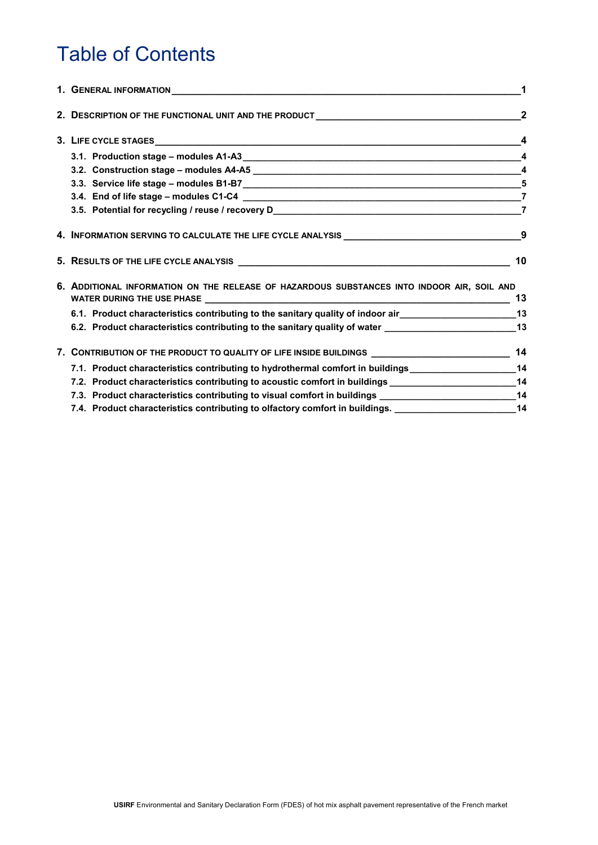## Table of Contents

| 1. GENERAL INFORMATION NATION AND RESERVE TO A RESERVE THE RESERVE TO A RESERVE THE RESERVE TO A RESERVE THE R | $\mathbf 1$             |
|----------------------------------------------------------------------------------------------------------------|-------------------------|
| 2. DESCRIPTION OF THE FUNCTIONAL UNIT AND THE PRODUCT ___________________________                              |                         |
|                                                                                                                | $\overline{\mathbf{4}}$ |
|                                                                                                                | $\overline{\mathbf{4}}$ |
|                                                                                                                |                         |
|                                                                                                                |                         |
|                                                                                                                |                         |
|                                                                                                                | $\overline{7}$          |
| 4. INFORMATION SERVING TO CALCULATE THE LIFE CYCLE ANALYSIS ____________________                               | 9                       |
|                                                                                                                | 10                      |
| 6. ADDITIONAL INFORMATION ON THE RELEASE OF HAZARDOUS SUBSTANCES INTO INDOOR AIR, SOIL AND                     | 13                      |
|                                                                                                                |                         |
| 6.2. Product characteristics contributing to the sanitary quality of water _________________________13         |                         |
| 7. CONTRIBUTION OF THE PRODUCT TO QUALITY OF LIFE INSIDE BUILDINGS _________________________________ 14        |                         |
| 7.1. Product characteristics contributing to hydrothermal comfort in buildings ____________________14          |                         |
| 7.2. Product characteristics contributing to acoustic comfort in buildings _________________________14         |                         |
| 7.3. Product characteristics contributing to visual comfort in buildings ___________________________14         |                         |
| 7.4. Product characteristics contributing to olfactory comfort in buildings. _______________________14         |                         |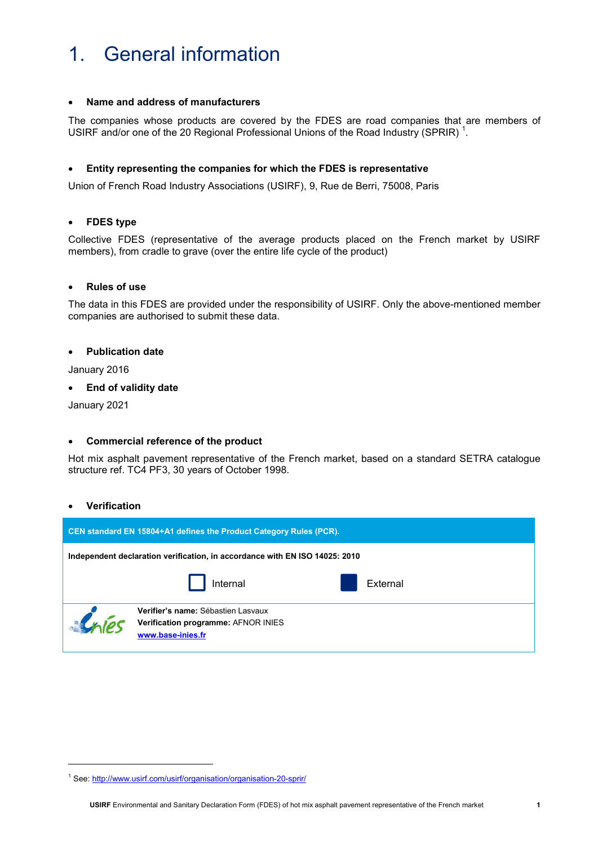### 1. General information

### Name and address of manufacturers

The companies whose products are covered by the FDES are road companies that are members of USIRF and/or one of the 20 Regional Professional Unions of the Road Industry (SPRIR)  $^1$ .

### Entity representing the companies for which the FDES is representative

Union of French Road Industry Associations (USIRF), 9, Rue de Berri, 75008, Paris

### FDES type

Collective FDES (representative of the average products placed on the French market by USIRF members), from cradle to grave (over the entire life cycle of the product)

### Rules of use

The data in this FDES are provided under the responsibility of USIRF. Only the above-mentioned member companies are authorised to submit these data.

#### Publication date

January 2016

#### End of validity date

January 2021

### Commercial reference of the product

Hot mix asphalt pavement representative of the French market, based on a standard SETRA catalogue structure ref. TC4 PF3, 30 years of October 1998.

### Verification

l

| CEN standard EN 15804+A1 defines the Product Category Rules (PCR).          |                                                                                                |  |          |  |
|-----------------------------------------------------------------------------|------------------------------------------------------------------------------------------------|--|----------|--|
| Independent declaration verification, in accordance with EN ISO 14025: 2010 |                                                                                                |  |          |  |
|                                                                             | Internal                                                                                       |  | External |  |
|                                                                             | Verifier's name: Sébastien Lasvaux<br>Verification programme: AFNOR INIES<br>www.base-inies.fr |  |          |  |

<sup>&</sup>lt;sup>1</sup> See: http://www.usirf.com/usirf/organisation/organisation-20-sprir/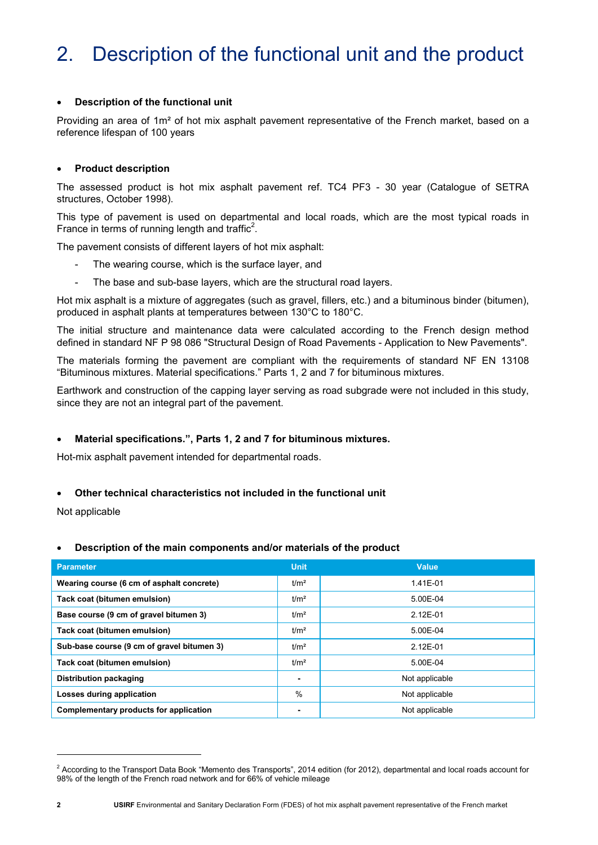## 2. Description of the functional unit and the product

### Description of the functional unit

Providing an area of 1m² of hot mix asphalt pavement representative of the French market, based on a reference lifespan of 100 years

### Product description

The assessed product is hot mix asphalt pavement ref. TC4 PF3 - 30 year (Catalogue of SETRA structures, October 1998).

This type of pavement is used on departmental and local roads, which are the most typical roads in France in terms of running length and traffic<sup>2</sup>.

The pavement consists of different layers of hot mix asphalt:

- The wearing course, which is the surface layer, and
- The base and sub-base layers, which are the structural road layers.

Hot mix asphalt is a mixture of aggregates (such as gravel, fillers, etc.) and a bituminous binder (bitumen), produced in asphalt plants at temperatures between 130°C to 180°C.

The initial structure and maintenance data were calculated according to the French design method defined in standard NF P 98 086 "Structural Design of Road Pavements - Application to New Pavements".

The materials forming the pavement are compliant with the requirements of standard NF EN 13108 "Bituminous mixtures. Material specifications." Parts 1, 2 and 7 for bituminous mixtures.

Earthwork and construction of the capping layer serving as road subgrade were not included in this study, since they are not an integral part of the pavement.

### Material specifications.", Parts 1, 2 and 7 for bituminous mixtures.

Hot-mix asphalt pavement intended for departmental roads.

### Other technical characteristics not included in the functional unit

Not applicable

### Description of the main components and/or materials of the product

| <b>Parameter</b>                           | <b>Unit</b>      | <b>Value</b>   |
|--------------------------------------------|------------------|----------------|
| Wearing course (6 cm of asphalt concrete)  | t/m <sup>2</sup> | 1.41E-01       |
| Tack coat (bitumen emulsion)               | t/m <sup>2</sup> | 5.00E-04       |
| Base course (9 cm of gravel bitumen 3)     | t/m <sup>2</sup> | 2.12E-01       |
| Tack coat (bitumen emulsion)               | t/m <sup>2</sup> | 5.00E-04       |
| Sub-base course (9 cm of gravel bitumen 3) | t/m <sup>2</sup> | 2.12E-01       |
| Tack coat (bitumen emulsion)               | t/m <sup>2</sup> | 5.00E-04       |
| Distribution packaging                     | ۰                | Not applicable |
| Losses during application                  | $\%$             | Not applicable |
| Complementary products for application     |                  | Not applicable |

-

<sup>&</sup>lt;sup>2</sup> According to the Transport Data Book "Memento des Transports", 2014 edition (for 2012), departmental and local roads account for 98% of the length of the French road network and for 66% of vehicle mileage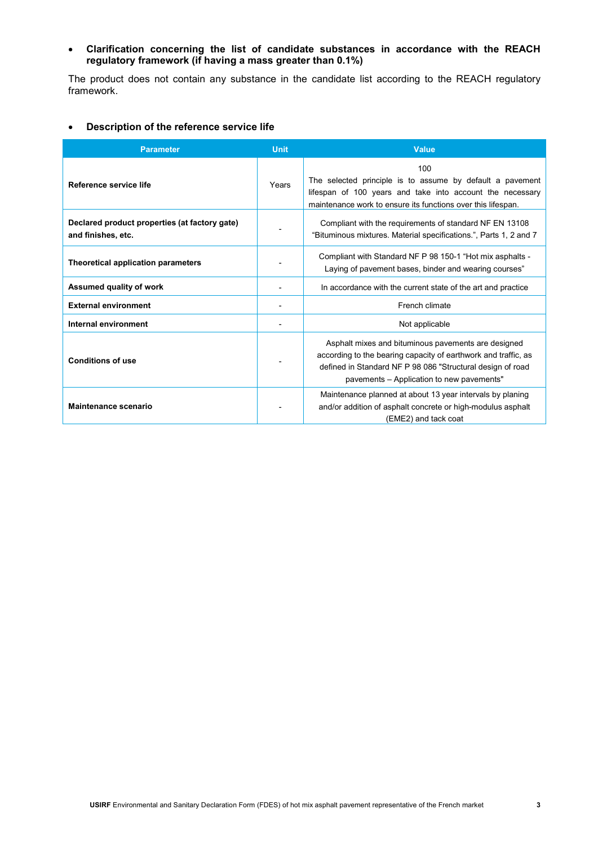### Clarification concerning the list of candidate substances in accordance with the REACH regulatory framework (if having a mass greater than 0.1%)

The product does not contain any substance in the candidate list according to the REACH regulatory framework.

### Description of the reference service life

| <b>Parameter</b>                                                    | <b>Unit</b> | <b>Value</b>                                                                                                                                                                                                                     |
|---------------------------------------------------------------------|-------------|----------------------------------------------------------------------------------------------------------------------------------------------------------------------------------------------------------------------------------|
| Reference service life                                              | Years       | 100<br>The selected principle is to assume by default a pavement<br>lifespan of 100 years and take into account the necessary<br>maintenance work to ensure its functions over this lifespan.                                    |
| Declared product properties (at factory gate)<br>and finishes, etc. |             | Compliant with the requirements of standard NF EN 13108<br>"Bituminous mixtures. Material specifications.", Parts 1, 2 and 7                                                                                                     |
| Theoretical application parameters                                  |             | Compliant with Standard NF P 98 150-1 "Hot mix asphalts -<br>Laying of pavement bases, binder and wearing courses"                                                                                                               |
| <b>Assumed quality of work</b>                                      |             | In accordance with the current state of the art and practice                                                                                                                                                                     |
| <b>External environment</b>                                         |             | French climate                                                                                                                                                                                                                   |
| Internal environment                                                |             | Not applicable                                                                                                                                                                                                                   |
| <b>Conditions of use</b>                                            |             | Asphalt mixes and bituminous pavements are designed<br>according to the bearing capacity of earthwork and traffic, as<br>defined in Standard NF P 98 086 "Structural design of road<br>pavements – Application to new pavements" |
| <b>Maintenance scenario</b>                                         |             | Maintenance planned at about 13 year intervals by planing<br>and/or addition of asphalt concrete or high-modulus asphalt<br>(EME2) and tack coat                                                                                 |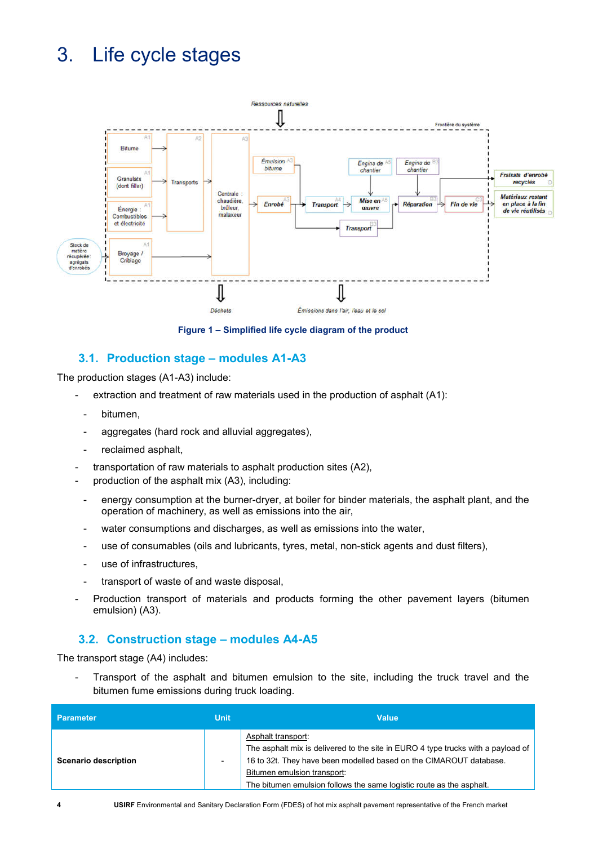## 3. Life cycle stages



Figure 1 – Simplified life cycle diagram of the product

### 3.1. Production stage – modules A1-A3

The production stages (A1-A3) include:

- extraction and treatment of raw materials used in the production of asphalt (A1):
	- bitumen.
- aggregates (hard rock and alluvial aggregates),
- reclaimed asphalt,
- transportation of raw materials to asphalt production sites (A2),
- production of the asphalt mix (A3), including:
- energy consumption at the burner-dryer, at boiler for binder materials, the asphalt plant, and the operation of machinery, as well as emissions into the air,
- water consumptions and discharges, as well as emissions into the water,
- use of consumables (oils and lubricants, tyres, metal, non-stick agents and dust filters),
- use of infrastructures.
- transport of waste of and waste disposal,
- Production transport of materials and products forming the other pavement layers (bitumen emulsion) (A3).

### 3.2. Construction stage – modules A4-A5

The transport stage (A4) includes:

Transport of the asphalt and bitumen emulsion to the site, including the truck travel and the bitumen fume emissions during truck loading.

| <b>Parameter</b>            | <b>Unit</b> | <b>Value</b>                                                                                                                                                                                                                                                                        |
|-----------------------------|-------------|-------------------------------------------------------------------------------------------------------------------------------------------------------------------------------------------------------------------------------------------------------------------------------------|
| <b>Scenario description</b> |             | Asphalt transport:<br>The asphalt mix is delivered to the site in EURO 4 type trucks with a payload of<br>16 to 32t. They have been modelled based on the CIMAROUT database.<br>Bitumen emulsion transport:<br>The bitumen emulsion follows the same logistic route as the asphalt. |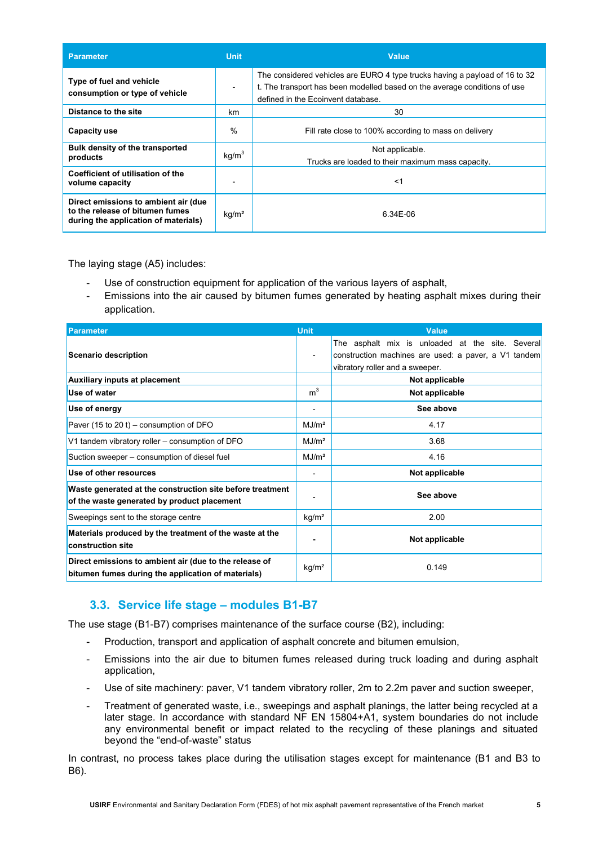| <b>Parameter</b>                                                                                                | <b>Unit</b>              | <b>Value</b>                                                                                                                                                                                   |
|-----------------------------------------------------------------------------------------------------------------|--------------------------|------------------------------------------------------------------------------------------------------------------------------------------------------------------------------------------------|
| Type of fuel and vehicle<br>consumption or type of vehicle                                                      | $\overline{\phantom{a}}$ | The considered vehicles are EURO 4 type trucks having a payload of 16 to 32<br>t. The transport has been modelled based on the average conditions of use<br>defined in the Ecoinvent database. |
| Distance to the site                                                                                            | km                       | 30                                                                                                                                                                                             |
| <b>Capacity use</b>                                                                                             | %                        | Fill rate close to 100% according to mass on delivery                                                                                                                                          |
| Bulk density of the transported<br>products                                                                     | kg/m <sup>3</sup>        | Not applicable.<br>Trucks are loaded to their maximum mass capacity.                                                                                                                           |
| Coefficient of utilisation of the<br>volume capacity                                                            |                          | ≺1                                                                                                                                                                                             |
| Direct emissions to ambient air (due<br>to the release of bitumen fumes<br>during the application of materials) | kg/m <sup>2</sup>        | 6.34E-06                                                                                                                                                                                       |

The laying stage (A5) includes:

- Use of construction equipment for application of the various layers of asphalt,
- Emissions into the air caused by bitumen fumes generated by heating asphalt mixes during their application.

| <b>Parameter</b>                                                                                             | <b>Unit</b>       | <b>Value</b>                                                                                                                                |
|--------------------------------------------------------------------------------------------------------------|-------------------|---------------------------------------------------------------------------------------------------------------------------------------------|
| <b>Scenario description</b>                                                                                  |                   | The asphalt mix is unloaded at the site. Several<br>construction machines are used: a paver, a V1 tandem<br>vibratory roller and a sweeper. |
| <b>Auxiliary inputs at placement</b>                                                                         |                   | Not applicable                                                                                                                              |
| Use of water                                                                                                 | m <sup>3</sup>    | Not applicable                                                                                                                              |
| Use of energy                                                                                                |                   | See above                                                                                                                                   |
| Paver (15 to 20 t) – consumption of DFO                                                                      | MJ/m <sup>2</sup> | 4.17                                                                                                                                        |
| V1 tandem vibratory roller – consumption of DFO                                                              | MJ/m <sup>2</sup> | 3.68                                                                                                                                        |
| Suction sweeper – consumption of diesel fuel                                                                 | MJ/m <sup>2</sup> | 4.16                                                                                                                                        |
| Use of other resources                                                                                       |                   | Not applicable                                                                                                                              |
| Waste generated at the construction site before treatment<br>of the waste generated by product placement     |                   | See above                                                                                                                                   |
| Sweepings sent to the storage centre                                                                         | kg/m <sup>2</sup> | 2.00                                                                                                                                        |
| Materials produced by the treatment of the waste at the<br>construction site                                 |                   | Not applicable                                                                                                                              |
| Direct emissions to ambient air (due to the release of<br>bitumen fumes during the application of materials) | kg/m <sup>2</sup> | 0.149                                                                                                                                       |

### 3.3. Service life stage – modules B1-B7

The use stage (B1-B7) comprises maintenance of the surface course (B2), including:

- Production, transport and application of asphalt concrete and bitumen emulsion,
- Emissions into the air due to bitumen fumes released during truck loading and during asphalt application,
- Use of site machinery: paver, V1 tandem vibratory roller, 2m to 2.2m paver and suction sweeper,
- Treatment of generated waste, i.e., sweepings and asphalt planings, the latter being recycled at a later stage. In accordance with standard NF EN 15804+A1, system boundaries do not include any environmental benefit or impact related to the recycling of these planings and situated beyond the "end-of-waste" status

In contrast, no process takes place during the utilisation stages except for maintenance (B1 and B3 to B6).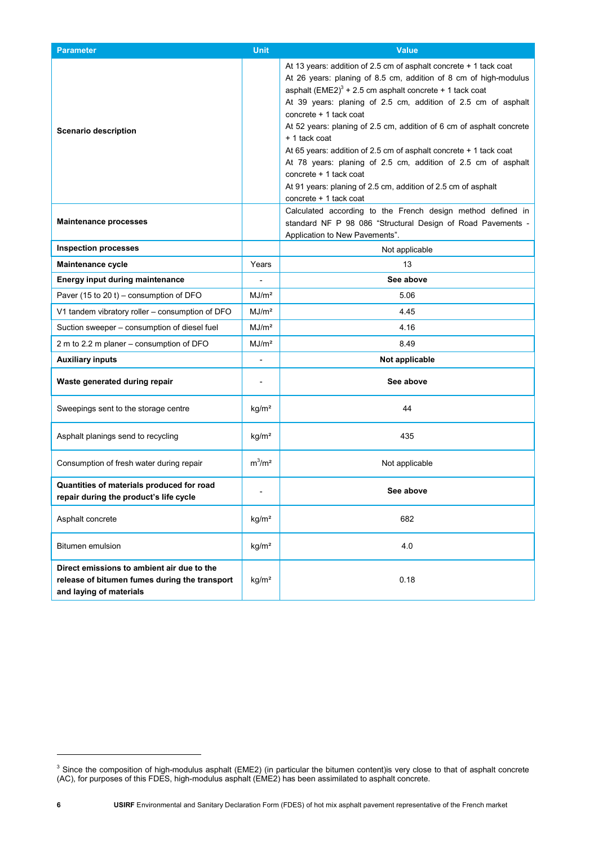| <b>Parameter</b>                                                                                                       | <b>Unit</b>                  | <b>Value</b>                                                                                                                                                                                                                                                                                                                                                                                                                                                                                                                                                                                                                                       |
|------------------------------------------------------------------------------------------------------------------------|------------------------------|----------------------------------------------------------------------------------------------------------------------------------------------------------------------------------------------------------------------------------------------------------------------------------------------------------------------------------------------------------------------------------------------------------------------------------------------------------------------------------------------------------------------------------------------------------------------------------------------------------------------------------------------------|
| <b>Scenario description</b>                                                                                            |                              | At 13 years: addition of 2.5 cm of asphalt concrete + 1 tack coat<br>At 26 years: planing of 8.5 cm, addition of 8 cm of high-modulus<br>asphalt (EME2) $3 + 2.5$ cm asphalt concrete + 1 tack coat<br>At 39 years: planing of 2.5 cm, addition of 2.5 cm of asphalt<br>concrete + 1 tack coat<br>At 52 years: planing of 2.5 cm, addition of 6 cm of asphalt concrete<br>+ 1 tack coat<br>At 65 years: addition of 2.5 cm of asphalt concrete + 1 tack coat<br>At 78 years: planing of 2.5 cm, addition of 2.5 cm of asphalt<br>concrete + 1 tack coat<br>At 91 years: planing of 2.5 cm, addition of 2.5 cm of asphalt<br>concrete + 1 tack coat |
| <b>Maintenance processes</b>                                                                                           |                              | Calculated according to the French design method defined in<br>standard NF P 98 086 "Structural Design of Road Pavements -<br>Application to New Pavements".                                                                                                                                                                                                                                                                                                                                                                                                                                                                                       |
| <b>Inspection processes</b>                                                                                            |                              | Not applicable                                                                                                                                                                                                                                                                                                                                                                                                                                                                                                                                                                                                                                     |
| <b>Maintenance cycle</b>                                                                                               | Years                        | 13                                                                                                                                                                                                                                                                                                                                                                                                                                                                                                                                                                                                                                                 |
| Energy input during maintenance                                                                                        |                              | See above                                                                                                                                                                                                                                                                                                                                                                                                                                                                                                                                                                                                                                          |
| Paver (15 to 20 t) – consumption of DFO                                                                                | MJ/m <sup>2</sup>            | 5.06                                                                                                                                                                                                                                                                                                                                                                                                                                                                                                                                                                                                                                               |
| V1 tandem vibratory roller - consumption of DFO                                                                        | MJ/m <sup>2</sup>            | 4.45                                                                                                                                                                                                                                                                                                                                                                                                                                                                                                                                                                                                                                               |
| Suction sweeper - consumption of diesel fuel                                                                           | MJ/m <sup>2</sup>            | 4.16                                                                                                                                                                                                                                                                                                                                                                                                                                                                                                                                                                                                                                               |
| 2 m to 2.2 m planer – consumption of DFO                                                                               | MJ/m <sup>2</sup>            | 8.49                                                                                                                                                                                                                                                                                                                                                                                                                                                                                                                                                                                                                                               |
| <b>Auxiliary inputs</b>                                                                                                | $\qquad \qquad \blacksquare$ | Not applicable                                                                                                                                                                                                                                                                                                                                                                                                                                                                                                                                                                                                                                     |
| Waste generated during repair                                                                                          |                              | See above                                                                                                                                                                                                                                                                                                                                                                                                                                                                                                                                                                                                                                          |
| Sweepings sent to the storage centre                                                                                   | kg/m <sup>2</sup>            | 44                                                                                                                                                                                                                                                                                                                                                                                                                                                                                                                                                                                                                                                 |
| Asphalt planings send to recycling                                                                                     | kg/m <sup>2</sup>            | 435                                                                                                                                                                                                                                                                                                                                                                                                                                                                                                                                                                                                                                                |
| Consumption of fresh water during repair                                                                               | $m^3/m^2$                    | Not applicable                                                                                                                                                                                                                                                                                                                                                                                                                                                                                                                                                                                                                                     |
| Quantities of materials produced for road<br>repair during the product's life cycle                                    |                              | See above                                                                                                                                                                                                                                                                                                                                                                                                                                                                                                                                                                                                                                          |
| Asphalt concrete                                                                                                       | kg/m <sup>2</sup>            | 682                                                                                                                                                                                                                                                                                                                                                                                                                                                                                                                                                                                                                                                |
| Bitumen emulsion                                                                                                       | kg/m <sup>2</sup>            | 4.0                                                                                                                                                                                                                                                                                                                                                                                                                                                                                                                                                                                                                                                |
| Direct emissions to ambient air due to the<br>release of bitumen fumes during the transport<br>and laying of materials | kg/m <sup>2</sup>            | 0.18                                                                                                                                                                                                                                                                                                                                                                                                                                                                                                                                                                                                                                               |

-

 $3$  Since the composition of high-modulus asphalt (EME2) (in particular the bitumen content)is very close to that of asphalt concrete (AC), for purposes of this FDES, high-modulus asphalt (EME2) has been assimilated to asphalt concrete.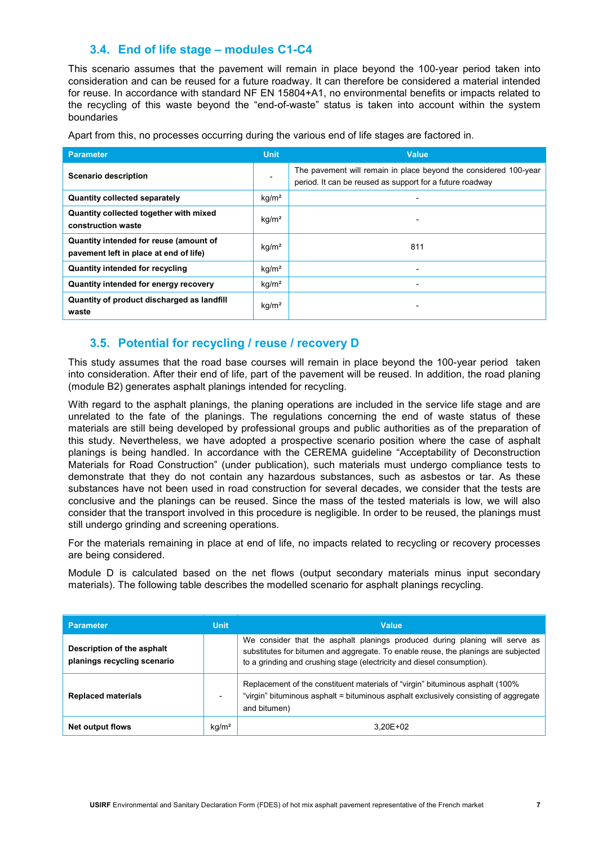### 3.4. End of life stage – modules C1-C4

This scenario assumes that the pavement will remain in place beyond the 100-year period taken into consideration and can be reused for a future roadway. It can therefore be considered a material intended for reuse. In accordance with standard NF EN 15804+A1, no environmental benefits or impacts related to the recycling of this waste beyond the "end-of-waste" status is taken into account within the system boundaries

| <b>Parameter</b>                                                                 | <b>Unit</b>              | <b>Value</b>                                                                                                                 |
|----------------------------------------------------------------------------------|--------------------------|------------------------------------------------------------------------------------------------------------------------------|
| <b>Scenario description</b>                                                      | $\overline{\phantom{a}}$ | The pavement will remain in place beyond the considered 100-year<br>period. It can be reused as support for a future roadway |
| Quantity collected separately                                                    | kg/m <sup>2</sup>        | $\overline{\phantom{0}}$                                                                                                     |
| Quantity collected together with mixed<br>construction waste                     | kg/m <sup>2</sup>        |                                                                                                                              |
| Quantity intended for reuse (amount of<br>pavement left in place at end of life) | kg/m <sup>2</sup>        | 811                                                                                                                          |
| <b>Quantity intended for recycling</b>                                           | kg/m <sup>2</sup>        | -                                                                                                                            |
| Quantity intended for energy recovery                                            | kg/m <sup>2</sup>        | $\overline{\phantom{0}}$                                                                                                     |
| Quantity of product discharged as landfill<br>waste                              | kg/m <sup>2</sup>        | -                                                                                                                            |

Apart from this, no processes occurring during the various end of life stages are factored in.

### 3.5. Potential for recycling / reuse / recovery D

This study assumes that the road base courses will remain in place beyond the 100-year period taken into consideration. After their end of life, part of the pavement will be reused. In addition, the road planing (module B2) generates asphalt planings intended for recycling.

With regard to the asphalt planings, the planing operations are included in the service life stage and are unrelated to the fate of the planings. The regulations concerning the end of waste status of these materials are still being developed by professional groups and public authorities as of the preparation of this study. Nevertheless, we have adopted a prospective scenario position where the case of asphalt planings is being handled. In accordance with the CEREMA guideline "Acceptability of Deconstruction Materials for Road Construction" (under publication), such materials must undergo compliance tests to demonstrate that they do not contain any hazardous substances, such as asbestos or tar. As these substances have not been used in road construction for several decades, we consider that the tests are conclusive and the planings can be reused. Since the mass of the tested materials is low, we will also consider that the transport involved in this procedure is negligible. In order to be reused, the planings must still undergo grinding and screening operations.

For the materials remaining in place at end of life, no impacts related to recycling or recovery processes are being considered.

Module D is calculated based on the net flows (output secondary materials minus input secondary materials). The following table describes the modelled scenario for asphalt planings recycling.

| <b>Parameter</b>                                          | <b>Unit</b>       | <b>Value</b>                                                                                                                                                                                                                                |
|-----------------------------------------------------------|-------------------|---------------------------------------------------------------------------------------------------------------------------------------------------------------------------------------------------------------------------------------------|
| Description of the asphalt<br>planings recycling scenario |                   | We consider that the asphalt planings produced during planing will serve as<br>substitutes for bitumen and aggregate. To enable reuse, the planings are subjected<br>to a grinding and crushing stage (electricity and diesel consumption). |
| <b>Replaced materials</b>                                 |                   | Replacement of the constituent materials of "virgin" bituminous asphalt (100%)<br>"virgin" bituminous asphalt = bituminous asphalt exclusively consisting of aggregate<br>and bitumen)                                                      |
| Net output flows                                          | kg/m <sup>2</sup> | 3.20E+02                                                                                                                                                                                                                                    |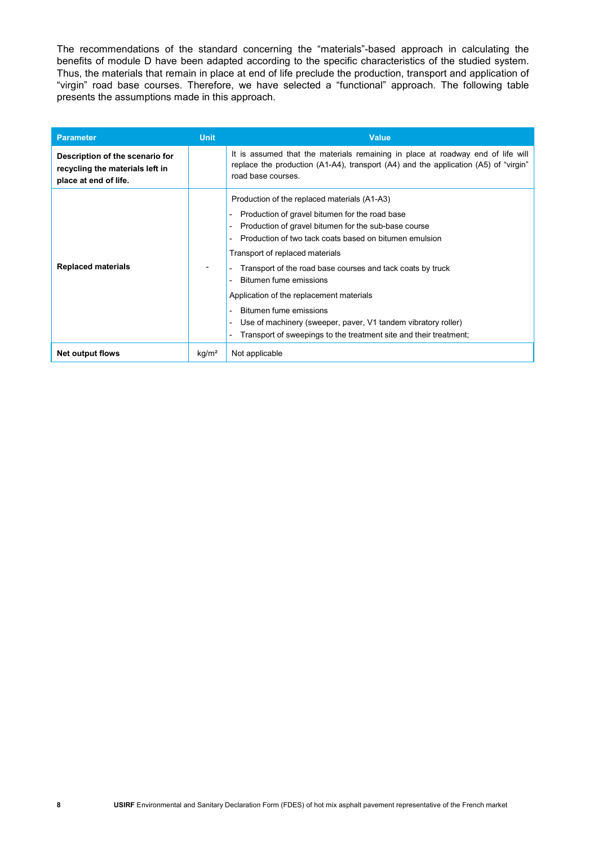The recommendations of the standard concerning the "materials"-based approach in calculating the benefits of module D have been adapted according to the specific characteristics of the studied system. Thus, the materials that remain in place at end of life preclude the production, transport and application of "virgin" road base courses. Therefore, we have selected a "functional" approach. The following table presents the assumptions made in this approach.

| <b>Parameter</b>                                                                            | <b>Unit</b>       | <b>Value</b>                                                                                                                                                                                                                                                                                                                                                                                                                                                                                                                                                                                                                                                  |
|---------------------------------------------------------------------------------------------|-------------------|---------------------------------------------------------------------------------------------------------------------------------------------------------------------------------------------------------------------------------------------------------------------------------------------------------------------------------------------------------------------------------------------------------------------------------------------------------------------------------------------------------------------------------------------------------------------------------------------------------------------------------------------------------------|
| Description of the scenario for<br>recycling the materials left in<br>place at end of life. |                   | It is assumed that the materials remaining in place at roadway end of life will<br>replace the production (A1-A4), transport (A4) and the application (A5) of "virgin"<br>road base courses.                                                                                                                                                                                                                                                                                                                                                                                                                                                                  |
| <b>Replaced materials</b>                                                                   |                   | Production of the replaced materials (A1-A3)<br>Production of gravel bitumen for the road base<br>$\overline{\phantom{a}}$<br>Production of gravel bitumen for the sub-base course<br>$\overline{a}$<br>Production of two tack coats based on bitumen emulsion<br>Transport of replaced materials<br>Transport of the road base courses and tack coats by truck<br>Bitumen fume emissions<br>Application of the replacement materials<br>Bitumen fume emissions<br>$\overline{\phantom{a}}$<br>Use of machinery (sweeper, paver, V1 tandem vibratory roller)<br>$\overline{\phantom{a}}$<br>Transport of sweepings to the treatment site and their treatment; |
| <b>Net output flows</b>                                                                     | kg/m <sup>2</sup> | Not applicable                                                                                                                                                                                                                                                                                                                                                                                                                                                                                                                                                                                                                                                |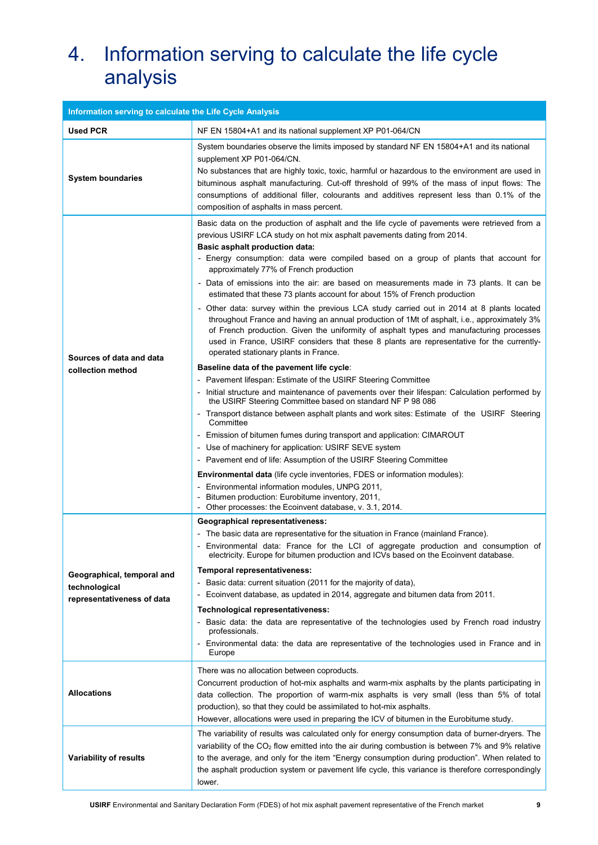## 4. Information serving to calculate the life cycle analysis

| Information serving to calculate the Life Cycle Analysis                  |                                                                                                                                                                                                                                                                                                                                                                                                                                                                                                                                                                                                                                                                                                                                                                                                                                                                                                                                                                                                                                                                                                                                                                                                                                                                                                                                                                                                                                                                                                                                                                                                                                                                                                                                                   |
|---------------------------------------------------------------------------|---------------------------------------------------------------------------------------------------------------------------------------------------------------------------------------------------------------------------------------------------------------------------------------------------------------------------------------------------------------------------------------------------------------------------------------------------------------------------------------------------------------------------------------------------------------------------------------------------------------------------------------------------------------------------------------------------------------------------------------------------------------------------------------------------------------------------------------------------------------------------------------------------------------------------------------------------------------------------------------------------------------------------------------------------------------------------------------------------------------------------------------------------------------------------------------------------------------------------------------------------------------------------------------------------------------------------------------------------------------------------------------------------------------------------------------------------------------------------------------------------------------------------------------------------------------------------------------------------------------------------------------------------------------------------------------------------------------------------------------------------|
| <b>Used PCR</b>                                                           | NF EN 15804+A1 and its national supplement XP P01-064/CN                                                                                                                                                                                                                                                                                                                                                                                                                                                                                                                                                                                                                                                                                                                                                                                                                                                                                                                                                                                                                                                                                                                                                                                                                                                                                                                                                                                                                                                                                                                                                                                                                                                                                          |
| <b>System boundaries</b>                                                  | System boundaries observe the limits imposed by standard NF EN 15804+A1 and its national<br>supplement XP P01-064/CN.<br>No substances that are highly toxic, toxic, harmful or hazardous to the environment are used in<br>bituminous asphalt manufacturing. Cut-off threshold of 99% of the mass of input flows: The<br>consumptions of additional filler, colourants and additives represent less than 0.1% of the<br>composition of asphalts in mass percent.                                                                                                                                                                                                                                                                                                                                                                                                                                                                                                                                                                                                                                                                                                                                                                                                                                                                                                                                                                                                                                                                                                                                                                                                                                                                                 |
| Sources of data and data<br>collection method                             | Basic data on the production of asphalt and the life cycle of pavements were retrieved from a<br>previous USIRF LCA study on hot mix asphalt pavements dating from 2014.<br>Basic asphalt production data:<br>- Energy consumption: data were compiled based on a group of plants that account for<br>approximately 77% of French production<br>- Data of emissions into the air: are based on measurements made in 73 plants. It can be<br>estimated that these 73 plants account for about 15% of French production<br>- Other data: survey within the previous LCA study carried out in 2014 at 8 plants located<br>throughout France and having an annual production of 1Mt of asphalt, i.e., approximately 3%<br>of French production. Given the uniformity of asphalt types and manufacturing processes<br>used in France, USIRF considers that these 8 plants are representative for the currently-<br>operated stationary plants in France.<br>Baseline data of the pavement life cycle:<br>- Pavement lifespan: Estimate of the USIRF Steering Committee<br>- Initial structure and maintenance of pavements over their lifespan: Calculation performed by<br>the USIRF Steering Committee based on standard NF P 98 086<br>- Transport distance between asphalt plants and work sites: Estimate of the USIRF Steering<br>Committee<br>- Emission of bitumen fumes during transport and application: CIMAROUT<br>- Use of machinery for application: USIRF SEVE system<br>- Pavement end of life: Assumption of the USIRF Steering Committee<br><b>Environmental data</b> (life cycle inventories, FDES or information modules):<br>- Environmental information modules, UNPG 2011,<br>- Bitumen production: Eurobitume inventory, 2011, |
|                                                                           | - Other processes: the Ecoinvent database, v. 3.1, 2014.                                                                                                                                                                                                                                                                                                                                                                                                                                                                                                                                                                                                                                                                                                                                                                                                                                                                                                                                                                                                                                                                                                                                                                                                                                                                                                                                                                                                                                                                                                                                                                                                                                                                                          |
| Geographical, temporal and<br>technological<br>representativeness of data | <b>Geographical representativeness:</b><br>- The basic data are representative for the situation in France (mainland France).<br>- Environmental data: France for the LCI of aggregate production and consumption of<br>electricity. Europe for bitumen production and ICVs based on the Ecoinvent database.<br>Temporal representativeness:<br>- Basic data: current situation (2011 for the majority of data),<br>- Ecoinvent database, as updated in 2014, aggregate and bitumen data from 2011.<br>Technological representativeness:<br>- Basic data: the data are representative of the technologies used by French road industry<br>professionals.<br>- Environmental data: the data are representative of the technologies used in France and in<br>Europe                                                                                                                                                                                                                                                                                                                                                                                                                                                                                                                                                                                                                                                                                                                                                                                                                                                                                                                                                                                 |
| <b>Allocations</b>                                                        | There was no allocation between coproducts.<br>Concurrent production of hot-mix asphalts and warm-mix asphalts by the plants participating in<br>data collection. The proportion of warm-mix asphalts is very small (less than 5% of total<br>production), so that they could be assimilated to hot-mix asphalts.<br>However, allocations were used in preparing the ICV of bitumen in the Eurobitume study.                                                                                                                                                                                                                                                                                                                                                                                                                                                                                                                                                                                                                                                                                                                                                                                                                                                                                                                                                                                                                                                                                                                                                                                                                                                                                                                                      |
| Variability of results                                                    | The variability of results was calculated only for energy consumption data of burner-dryers. The<br>variability of the CO <sub>2</sub> flow emitted into the air during combustion is between 7% and 9% relative<br>to the average, and only for the item "Energy consumption during production". When related to<br>the asphalt production system or pavement life cycle, this variance is therefore correspondingly<br>lower.                                                                                                                                                                                                                                                                                                                                                                                                                                                                                                                                                                                                                                                                                                                                                                                                                                                                                                                                                                                                                                                                                                                                                                                                                                                                                                                   |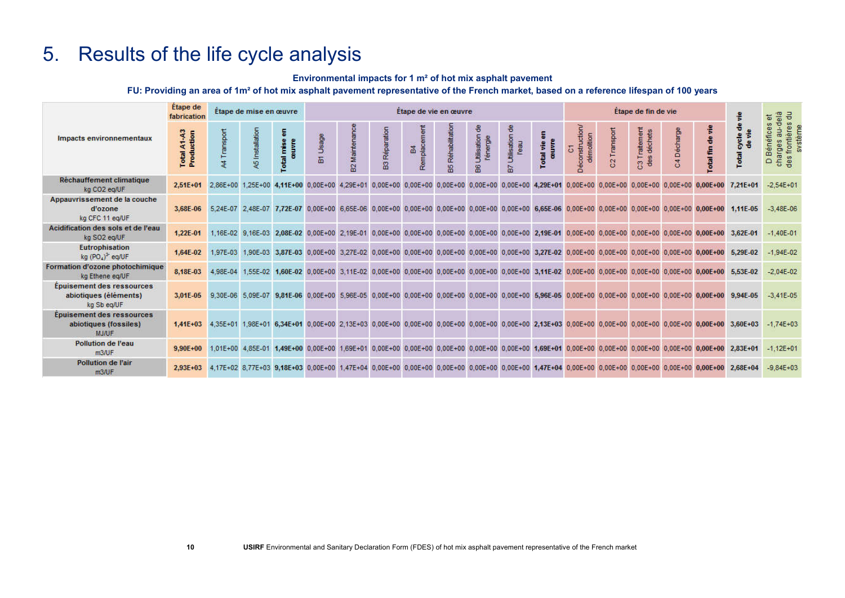### 5. Results of the life cycle analysis

### Environmental impacts for 1 m² of hot mix asphalt pavement

### FU: Providing an area of 1m² of hot mix asphalt pavement representative of the French market, based on a reference lifespan of 100 years

|                                                                           | <b>Etape</b> de<br>fabrication |                 | Etape de mise en œuvre |                                        |       |              |                 |              | Etape de vie en œuvre |                                |                                        |    | Étape de fin de vie       |                     | 응급<br>$\overline{\omega}$            |                                                   |                                                                                                                                                          |                                                                                                                                                                   |                                                                      |
|---------------------------------------------------------------------------|--------------------------------|-----------------|------------------------|----------------------------------------|-------|--------------|-----------------|--------------|-----------------------|--------------------------------|----------------------------------------|----|---------------------------|---------------------|--------------------------------------|---------------------------------------------------|----------------------------------------------------------------------------------------------------------------------------------------------------------|-------------------------------------------------------------------------------------------------------------------------------------------------------------------|----------------------------------------------------------------------|
| Impacts environnementaux                                                  | Total A1-A3<br>Production      | Transport<br>À. | <b>45 Installatio</b>  | mss<br>Ë<br>Total                      | Usage | Mainter<br>읎 | Réparation<br>留 | Remplac<br>菡 | Réhabilitati<br>10    | <b>Atlisation</b><br>l'energie | <b>Utilisation</b><br>lies)<br>T.<br>m | ÷. | démolition<br>onstru<br>o | Transport<br>$\sim$ | raitement<br>déchets<br>$\mathbf{m}$ | Décharge<br>$\overline{\mathbf{v}}$<br>$\epsilon$ | 음<br>otal fin                                                                                                                                            | cycle<br><b>Total</b>                                                                                                                                             | p-ne<br>frontières<br>Bénéfices<br>charges<br>des fronti<br>$\Omega$ |
| Réchauffement climatique<br>kg CO2 eg/UF                                  | $2.51E + 01$                   |                 |                        |                                        |       |              |                 |              |                       |                                |                                        |    |                           |                     |                                      |                                                   | 2.86E+00 1.25E+00 4.11E+00 0.00E+00 4.29E+01 0.00E+00 0.00E+00 0.00E+00 0.00E+00 0.00E+00 4.29E+01 0.00E+00 0.00E+00 0.00E+00 0.00E+00 0.00E+00 0.00E+00 | $7.21E + 01$                                                                                                                                                      | $-2.54E + 01$                                                        |
| Appauvrissement de la couche<br>d'ozone<br>kg CFC 11 eg/UF                | 3.68E-06                       |                 |                        |                                        |       |              |                 |              |                       |                                |                                        |    |                           |                     |                                      |                                                   |                                                                                                                                                          | 5:24E-07 2,48E-07 7,72E-07 0,00E+00 6,65E-06 0,00E+00 0,00E+00 0,00E+00 0,00E+00 0,00E+00 6,65E-06 0,00E+00 0,00E+00 0,00E+00 0,00E+00 0,00E+00 1,11E-05          | $-3.48E - 06$                                                        |
| Acidification des sols et de l'eau<br>kg SO2 eg/UF                        | 1.22E-01                       |                 |                        |                                        |       |              |                 |              |                       |                                |                                        |    |                           |                     |                                      |                                                   | 1,16E-02 9,16E-03 2,08E-02 0,00E+00 2,19E-01 0,00E+00 0,00E+00 0,00E+00 0,00E+00 0,00E+00 2,19E-01 0,00E+00 0,00E+00 0,00E+00 0,00E+00 0,00E+00 0,00E+00 | 3,62E-01                                                                                                                                                          | $-1.40E - 01$                                                        |
| <b>Eutrophisation</b><br>kg $(PO4)2$ eq/UF                                | 1.64E-02                       | 1.97E-03        | 1.90E-03               | 3,87E-03 0.00E+00                      |       |              |                 |              |                       |                                |                                        |    |                           |                     |                                      |                                                   | 3.27E-02 0.00E+00 0.00E+00 0.00E+00 0.00E+00 0.00E+00 3.27E-02 0.00E+00 0.00E+00 0.00E+00 0.00E+00 0.00E+00                                              | 5.29E-02                                                                                                                                                          | $-1.94E - 02$                                                        |
| Formation d'ozone photochimique<br>kg Ethene eg/UF                        | 8.18E-03                       | 4.98E-04        |                        |                                        |       |              |                 |              |                       |                                |                                        |    |                           |                     |                                      |                                                   | 1,55E-02 1,60E-02 0,00E+00 3,11E-02 0,00E+00 0,00E+00 0,00E+00 0,00E+00 0,00E+00 3,11E-02 0,00E+00 0,00E+00 0,00E+00 0,00E+00 0,00E+00                   | 5.53E-02                                                                                                                                                          | $-2.04E - 02$                                                        |
| <b>Epuisement des ressources</b><br>abiotiques (éléments)<br>kg Sb eq/UF  | 3.01E-05                       |                 |                        |                                        |       |              |                 |              |                       |                                |                                        |    |                           |                     |                                      |                                                   | 9,30E-06 5,09E-07 9,81E-06 0,00E+00 5,96E-05 0,00E+00 0,00E+00 0,00E+00 0,00E+00 0,00E+00 0,00E+00 0,00E+00 0,00E+00 0,00E+00 0,00E+00 0,00E+00 0,00E+00 | 9.94E-05                                                                                                                                                          | $-3.41E - 0.5$                                                       |
| <b>Epuisement des ressources</b><br>abiotiques (fossiles)<br><b>MJ/UF</b> | $1.41E + 03$                   |                 |                        |                                        |       |              |                 |              |                       |                                |                                        |    |                           |                     |                                      |                                                   |                                                                                                                                                          | 4.35E+01 1.98E+01 6.34E+01 0.00E+00 2.13E+03 0.00E+00 0.00E+00 0.00E+00 0.00E+00 0.00E+00 2.13E+03 0.00E+00 0.00E+00 0.00E+00 0.00E+00 0.00E+00 0.00E+00 3.60E+03 | $-1.74E + 03$                                                        |
| <b>Pollution de l'eau</b><br>m3/UF                                        | $9,90E + 00$                   |                 |                        | 1.01E+00  4.85E-01  1.49E+00  0.00E+00 |       |              |                 |              |                       |                                |                                        |    |                           |                     |                                      |                                                   | 1,69E+01 0,00E+00 0,00E+00 0,00E+00 0,00E+00 0,00E+00 1,69E+01 0,00E+00 0,00E+00 0,00E+00 0,00E+00 0,00E+00                                              | 2.83E+01                                                                                                                                                          | $-1,12E+01$                                                          |
| Pollution de l'air<br>m3/UF                                               | $2.93E + 03$                   |                 |                        |                                        |       |              |                 |              |                       |                                |                                        |    |                           |                     |                                      |                                                   |                                                                                                                                                          | 4.17E+02 8.77E+03 9.18E+03 0.00E+00 1.47E+04 0.00E+00 0.00E+00 0.00E+00 0.00E+00 0.00E+00 1.47E+04 0.00E+00 0.00E+00 0.00E+00 0.00E+00 0.00E+00 0.00E+00 2.68E+04 | $-9.84E+03$                                                          |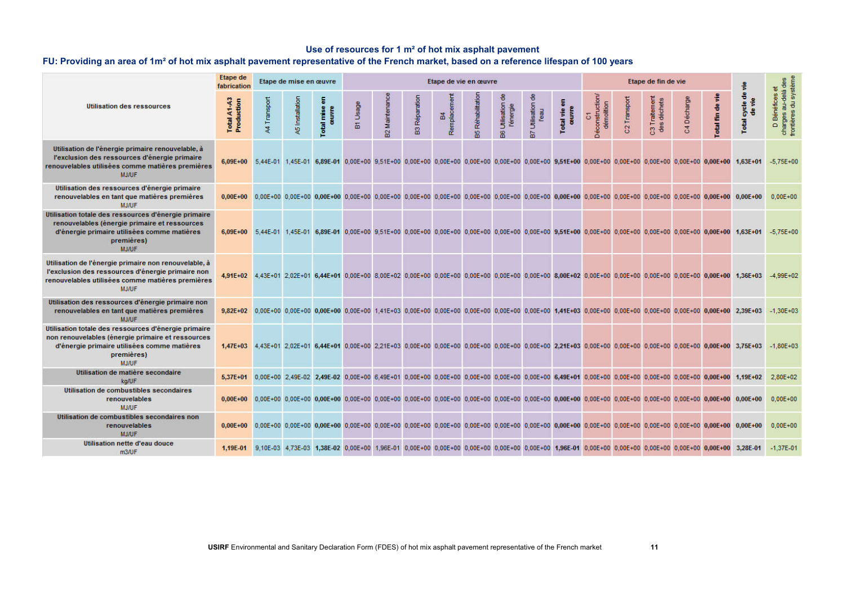### Use of resources for 1 m² of hot mix asphalt pavement

### FU: Providing an area of 1m² of hot mix asphalt pavement representative of the French market, based on a reference lifespan of 100 years

|                                                                                                                                                                                        | <b>Etape</b> de<br>fabrication |                | Etape de mise en œuvre |                     |            |                                       |                                       | Etape de vie en œuvre |                   |                               |                                  |                                  | Etape de fin de vie                | $\frac{9}{2}$              | systèm<br>용.                                                                                                                                                                                                                   |                            |                  |                                                                                                                                                                            |                                                                     |
|----------------------------------------------------------------------------------------------------------------------------------------------------------------------------------------|--------------------------------|----------------|------------------------|---------------------|------------|---------------------------------------|---------------------------------------|-----------------------|-------------------|-------------------------------|----------------------------------|----------------------------------|------------------------------------|----------------------------|--------------------------------------------------------------------------------------------------------------------------------------------------------------------------------------------------------------------------------|----------------------------|------------------|----------------------------------------------------------------------------------------------------------------------------------------------------------------------------|---------------------------------------------------------------------|
| <b>Utilisation des ressources</b>                                                                                                                                                      | Total A1-A3<br>Production      | Transport<br>茎 | A5 Installatio         | otal mise<br>couvre | Usage<br>窗 | Maintenanc<br>$\overline{\mathbf{B}}$ | Reparation<br>$\overline{\mathbf{B}}$ | Remplacement<br>啚     | Rehabilitati<br>溫 | 품<br>Utilisation<br>l'énergie | 8<br><b>Utilisation</b><br>l'eau | E<br>ouvre<br>$\frac{9}{2}$<br>ā | C1<br>econstruction/<br>demolition | Transpor<br>$\overline{c}$ | C3 Traitement<br>des déchets                                                                                                                                                                                                   | Décharge<br>$\overline{5}$ | ÷<br>otal fin de | 음<br>$\frac{9}{2}$<br>Total cycle                                                                                                                                          | D Bénéfices et<br>delà<br>$\exists$<br>å<br>charges a<br>frontières |
| Utilisation de l'énergie primaire renouvelable, à<br>l'exclusion des ressources d'énergie primaire<br>renouvelables utilisées comme matières premières<br><b>MJ/UF</b>                 |                                |                |                        |                     |            |                                       |                                       |                       |                   |                               |                                  |                                  |                                    |                            |                                                                                                                                                                                                                                |                            |                  | 6,09E+00 5,44E-01 1,45E-01 6,89E-01 0,00E+00 9,51E+00 0,00E+00 0,00E+00 0,00E+00 0,00E+00 0,00E+00 0,00E+00 0,00E+00 0,00E+00 0,00E+00 0,00E+00 0,00E+00 0,00E+00 1,63E+01 | $-5.75E + 00$                                                       |
| Utilisation des ressources d'énergie primaire<br>renouvelables en tant que matières premières<br><b>MJ/UF</b>                                                                          |                                |                |                        |                     |            |                                       |                                       |                       |                   |                               |                                  |                                  |                                    |                            | 0,00E+00 0,00E+00 0,00E+00 0,00E+00 0,00E+00 0,00E+00 0,00E+00 0,00E+00 0,00E+00 0,00E+00 0,00E+00 0,00E+00 0,00E+00 0,00E+00 0,00E+00 0,00E+00 0,00E+00 0,00E+00 0,00E+00 0,00E+00 0,00E+00 0,00E+00 0,00E+00 0,00E+00 0,00E+ |                            |                  |                                                                                                                                                                            | $0.00E + 00$                                                        |
| Utilisation totale des ressources d'énergie primaire<br>renouvelables (énergie primaire et ressources<br>d'énergie primaire utilisées comme matières<br>premières)<br><b>MJAJF</b>     |                                |                |                        |                     |            |                                       |                                       |                       |                   |                               |                                  |                                  |                                    |                            |                                                                                                                                                                                                                                |                            |                  | 6.09E+00 5.44E-01 1.45E-01 6.89E-01 0.00E+00 9.51E+00 0.00E+00 0.00E+00 0.00E+00 0.00E+00 0.00E+00 9.51E+00 0.00E+00 0.00E+00 0.00E+00 0.00E+00 0.00E+00 1.63E+01          | $-5.75E+00$                                                         |
| Utilisation de l'energie primaire non renouvelable, à<br>l'exclusion des ressources d'énergie primaire non<br>renouvelables utilisées comme matières premières<br><b>MJ/UF</b>         |                                |                |                        |                     |            |                                       |                                       |                       |                   |                               |                                  |                                  |                                    |                            |                                                                                                                                                                                                                                |                            |                  | 4,91E+02 4,43E+01 2,02E+01 6,44E+01 0,00E+00 8,00E+02 0,00E+00 0,00E+00 0,00E+00 0,00E+00 0,00E+00 8,00E+02 0,00E+00 0,00E+00 0,00E+00 0,00E+00 0,00E+00 1,36E+03          | $-4.99E+02$                                                         |
| Utilisation des ressources d'énergie primaire non<br>renouvelables en tant que matières premières<br><b>MJ/UF</b>                                                                      |                                |                |                        |                     |            |                                       |                                       |                       |                   |                               |                                  |                                  |                                    |                            |                                                                                                                                                                                                                                |                            |                  | 9,82E+02 0,00E+00 0,00E+00 0,00E+00 0,00E+00 1,41E+03 0,00E+00 0,00E+00 0,00E+00 0,00E+00 0,00E+00 1,41E+03 0,00E+00 0,00E+00 0,00E+00 0,00E+00 0,00E+00 0,00E+00 2,39E+03 | $-1.30E + 03$                                                       |
| Utilisation totale des ressources d'énergie primaire<br>non renouvelables (énergie primaire et ressources<br>d'énergie primaire utilisées comme matières<br>premières)<br><b>MJ/UF</b> |                                |                |                        |                     |            |                                       |                                       |                       |                   |                               |                                  |                                  |                                    |                            |                                                                                                                                                                                                                                |                            |                  | 1,47E+03 4,43E+01 2,02E+01 6,44E+01 0,00E+00 2,21E+03 0,00E+00 0,00E+00 0,00E+00 0,00E+00 0,00E+00 2,21E+03 0,00E+00 0,00E+00 0,00E+00 0,00E+00 0,00E+00 3,75E+03          | $-1.80E + 03$                                                       |
| Utilisation de matière secondaire<br>ka/UF                                                                                                                                             |                                |                |                        |                     |            |                                       |                                       |                       |                   |                               |                                  |                                  |                                    |                            |                                                                                                                                                                                                                                |                            |                  | 5.37E+01 0.00E+00 2.49E-02 2.49E-02 0.00E+00 6.49E+01 0.00E+00 0.00E+00 0.00E+00 0.00E+00 0.00E+00 6.49E+01 0.00E+00 0.00E+00 0.00E+00 0.00E+00 0.00E+00 0.00E+00 1.19E+02 | $2.80E + 02$                                                        |
| Utilisation de combustibles secondaires<br>renouvelables<br><b>MJ/UF</b>                                                                                                               |                                |                |                        |                     |            |                                       |                                       |                       |                   |                               |                                  |                                  |                                    |                            | 0.00E+00 0.00E+00 0.00E+00 0.00E+00 0.00E+00 0.00E+00 0.00E+00 0.00E+00 0.00E+00 0.00E+00 0.00E+00 0.00E+00 0.00E+00 0.00E+00 0.00E+00 0.00E+00 0.00E+00 0.00E+00 0.00E+00                                                     |                            |                  |                                                                                                                                                                            | $0.00E + 00$                                                        |
| Utilisation de combustibles secondaires non<br>renouvelables<br><b>MJ/UF</b>                                                                                                           |                                |                |                        |                     |            |                                       |                                       |                       |                   |                               |                                  |                                  |                                    |                            | 0,00E+00 0,00E+00 0,00E+00 0,00E+00 0,00E+00 0,00E+00 0,00E+00 0,00E+00 0,00E+00 0,00E+00 0,00E+00 0,00E+00 0,00E+00 0,00E+00 0,00E+00 0,00E+00 0,00E+00 0,00E+00 0,00E+00                                                     |                            |                  |                                                                                                                                                                            | $0.00E + 00$                                                        |
| Utilisation nette d'eau douce<br>m3/UF                                                                                                                                                 |                                |                |                        |                     |            |                                       |                                       |                       |                   |                               |                                  |                                  |                                    |                            | 1,98E-01 9,10E-03 4,73E-03 1,38E-02 0,00E+00 1,96E-01 0,00E+00 0,00E+00 0,00E+00 0,00E+00 0,00E+00 0,00E+00 0,00E+00 0,00E+00 0,00E+00 0,00E+00 0,00E+00 0,00E+00 0,00E+00 0,00E+00 0,00E+00 0,00E+00 0,00E+00 0,00E+00 0,00E+ |                            |                  |                                                                                                                                                                            | $-1.37E - 01$                                                       |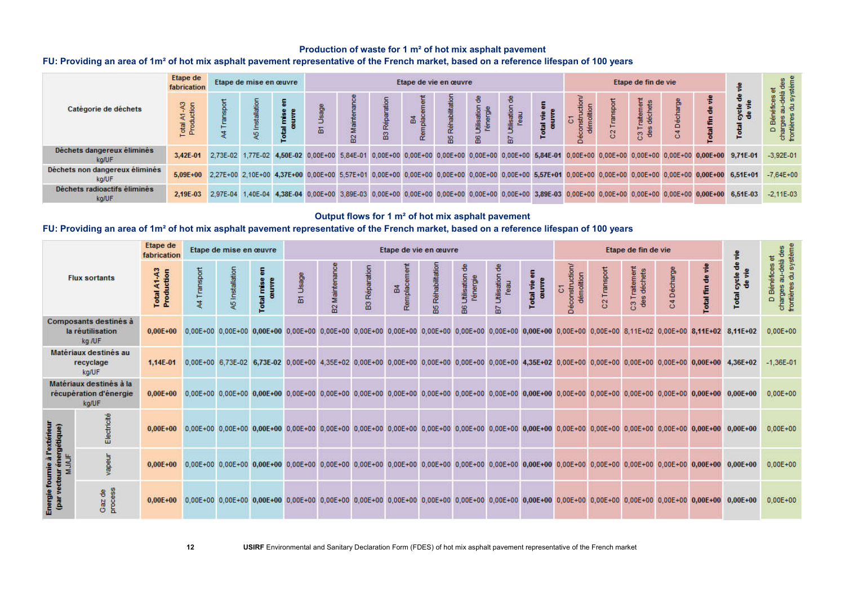### Production of waste for 1 m² of hot mix asphalt pavement

### FU: Providing an area of 1m<sup>2</sup> of hot mix asphalt pavement representative of the French market, based on a reference lifespan of 100 years

| Catégorie de déchets                    | Etape de<br>fabrication     |          | Etape de mise en œuvre |   |   |        |   | Etape de vie en œuvre |        | Etape de fin de vie |   |   |                 |   |  |                                                                                                                                                                   |                       |
|-----------------------------------------|-----------------------------|----------|------------------------|---|---|--------|---|-----------------------|--------|---------------------|---|---|-----------------|---|--|-------------------------------------------------------------------------------------------------------------------------------------------------------------------|-----------------------|
|                                         | <sub>2</sub> 名<br>e<br>Proc |          |                        | 面 | 윱 | B3 Rép | 풂 | 噐                     | 8<br>8 | tilisatio<br>品      | ÷ | S | ි <del>පි</del> | ٥ |  |                                                                                                                                                                   | m<br>≏<br>$rac{a}{6}$ |
| Déchets dangereux éliminés<br>kg/UF     | 3.42E-01                    |          |                        |   |   |        |   |                       |        |                     |   |   |                 |   |  | 2,73E-02 1,77E-02 4,50E-02 0,00E+00 5,84E-01 0,00E+00 0,00E+00 0,00E+00 0,00E+00 0,00E+00 5,84E-01 0,00E+00 0,00E+00 0,00E+00 0,00E+00 0,00E+00 0,00E+00 9,71E-01 | $-3.92E - 01$         |
| Déchets non dangereux éliminés<br>kg/UF | $5,09E+00$                  |          |                        |   |   |        |   |                       |        |                     |   |   |                 |   |  | 2,27E+00 2,10E+00 4,37E+00 0,00E+00 5,57E+01 0,00E+00 0,00E+00 0,00E+00 0,00E+00 0,00E+00 5,57E+01 0,00E+00 0,00E+00 0,00E+00 0,00E+00 0,00E+00 6,61E+01          | $-7.64E + 00$         |
| Déchets radioactifs éliminés<br>ka/UF   | 2.19E-03                    | 2.97E-04 |                        |   |   |        |   |                       |        |                     |   |   |                 |   |  | 1,40E-04 4,38E-04 0,00E+00 3,89E-03 0,00E+00 0,00E+00 0,00E+00 0,00E+00 0,00E+00 3,89E-03 0,00E+00 0,00E+00 0,00E+00 0,00E+00 0,00E+00 6,51E-03                   | $-2.11E - 03$         |

#### Output flows for 1 m² of hot mix asphalt pavement

### FU: Providing an area of 1m² of hot mix asphalt pavement representative of the French market, based on a reference lifespan of 100 years

| <b>Flux sortants</b>                                       |                                                     | Etape de<br>fabrication                                                                                                                                                                                                        |            | Etape de mise en œuvre |                     |          | Etape de vie en œuvre |                                                                                                                                                                   |                  |                    |                                    |                                |                       |                                                        |                          | Etape de fin de vie          |             |                       |                                                                                                                                                                   |                                          |  |
|------------------------------------------------------------|-----------------------------------------------------|--------------------------------------------------------------------------------------------------------------------------------------------------------------------------------------------------------------------------------|------------|------------------------|---------------------|----------|-----------------------|-------------------------------------------------------------------------------------------------------------------------------------------------------------------|------------------|--------------------|------------------------------------|--------------------------------|-----------------------|--------------------------------------------------------|--------------------------|------------------------------|-------------|-----------------------|-------------------------------------------------------------------------------------------------------------------------------------------------------------------|------------------------------------------|--|
|                                                            |                                                     | Total A1-A3<br>Production                                                                                                                                                                                                      | 4 Transpor | A5 Installation        | Total mise<br>œuvre | Br Usage | B2 Maintenanc         | <b>B3 Réparation</b>                                                                                                                                              | B4<br>Remplaceme | Réhabilitatio<br>盟 | 8<br>Utilisation<br>l'energie<br>æ | 8<br>Utilisation<br>l'eau<br>品 | l vie en<br>uvre<br>횽 | econstruction<br>démolition<br>$\overline{\mathrm{o}}$ | C <sub>2</sub> Transport | C3 Traitement<br>des déchets | C4 Decharge | å<br><b>Total fin</b> | cycle de<br>Total                                                                                                                                                 | Benefices<br>charges:<br>frontières<br>۵ |  |
|                                                            | Composants destinés à<br>la réutilisation<br>kg /UF | $0,00E + 00$                                                                                                                                                                                                                   |            |                        |                     |          |                       |                                                                                                                                                                   |                  |                    |                                    |                                |                       |                                                        |                          |                              |             |                       | 0,00E+00 0,00E+00 0,00E+00 0,00E+00 0,00E+00 0,00E+00 0,00E+00 0,00E+00 0,00E+00 0,00E+00 0,00E+00 0,00E+00 0,00E+00 8,11E+02 0,00E+00 8,11E+02 8,11E+02          | $0.00E + 00$                             |  |
| Matériaux destinés au<br>recyclage<br>kg/UF                |                                                     | $1,14E-01$                                                                                                                                                                                                                     |            |                        |                     |          |                       |                                                                                                                                                                   |                  |                    |                                    |                                |                       |                                                        |                          |                              |             |                       | 0,00E+00 6,73E-02 6,73E-02 0,00E+00 4,35E+02 0,00E+00 0,00E+00 0,00E+00 0,00E+00 0,00E+00 4,35E+02 0,00E+00 0,00E+00 0,00E+00 0,00E+00 0,00E+00 0,00E+00 4,36E+02 | $-1,36E-01$                              |  |
| Matériaux destinés à la<br>récupération d'énergie<br>kg/UF |                                                     | 0,00E+00 0,00E+00 0,00E+00 0,00E+00 0,00E+00 0,00E+00 0,00E+00 0,00E+00 0,00E+00 0,00E+00 0,00E+00 0,00E+00 0,00E+00 0,00E+00 0,00E+00 0,00E+00 0,00E+00 0,00E+00 0,00E+00 0,00E+00 0,00E+00 0,00E+00 0,00E+00 0,00E+00 0,00E+ |            |                        |                     |          |                       |                                                                                                                                                                   |                  |                    |                                    |                                |                       |                                                        |                          |                              |             |                       |                                                                                                                                                                   | $0,00E+00$                               |  |
|                                                            | Electricit                                          | $0.00E + 00$                                                                                                                                                                                                                   |            |                        |                     |          |                       | 0,00E+00 0,00E+00 0,00E+00 0,00E+00 0,00E+00 0,00E+00 0,00E+00 0,00E+00 0,00E+00 0,00E+00 0,00E+00 0,00E+00 0,00E+00 0,00E+00 0,00E+00 0,00E+00 0,00E+00 0,00E+00 |                  |                    |                                    |                                |                       |                                                        |                          |                              |             |                       | $0.00E + 00$                                                                                                                                                      | $0.00E + 00$                             |  |
|                                                            | apeur                                               | 0,00E+00 0,00E+00 0,00E+00 0,00E+00 0,00E+00 0,00E+00 0,00E+00 0,00E+00 0,00E+00 0,00E+00 0,00E+00 0,00E+00 0,00E+00 0,00E+00 0,00E+00 0,00E+00 0,00E+00 0,00E+00 0,00E+00                                                     |            |                        |                     |          |                       |                                                                                                                                                                   |                  |                    |                                    |                                |                       |                                                        |                          |                              |             |                       |                                                                                                                                                                   | $0.00E + 00$                             |  |
|                                                            | es<br>S<br>Gaz de<br>proce                          | 0,00E+00 0,00E+00 0,00E+00 0,00E+00 0,00E+00 0,00E+00 0,00E+00 0,00E+00 0,00E+00 0,00E+00 0,00E+00 0,00E+00 0,00E+00 0,00E+00 0,00E+00 0,00E+00 0,00E+00 0,00E+00 0,00E+00 0,00E+00 0,00E+00 0,00E+00 0,00E+00 0,00E+00 0,00E+ |            |                        |                     |          |                       |                                                                                                                                                                   |                  |                    |                                    |                                |                       |                                                        |                          |                              |             |                       |                                                                                                                                                                   | $0.00E + 00$                             |  |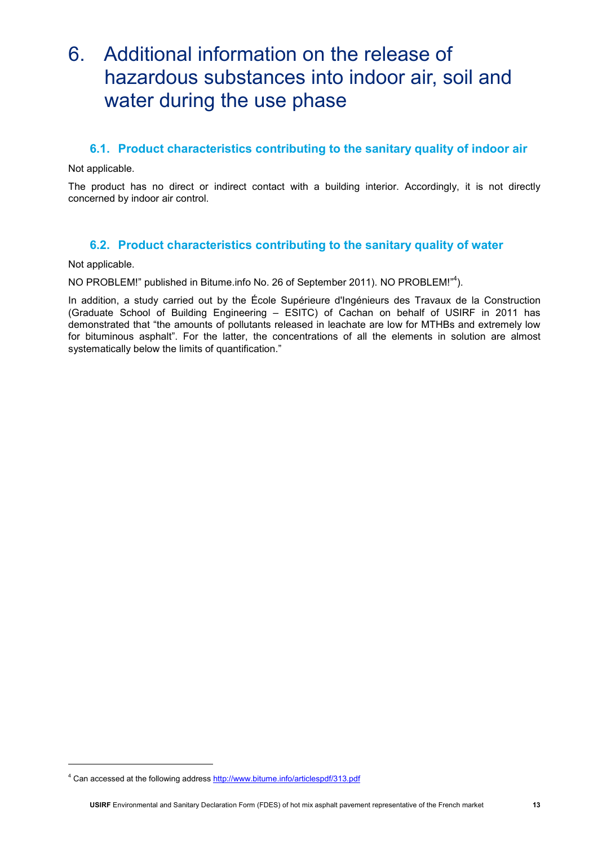### 6. Additional information on the release of hazardous substances into indoor air, soil and water during the use phase

### 6.1. Product characteristics contributing to the sanitary quality of indoor air

Not applicable.

The product has no direct or indirect contact with a building interior. Accordingly, it is not directly concerned by indoor air control.

### 6.2. Product characteristics contributing to the sanitary quality of water

Not applicable.

l

NO PROBLEM!" published in Bitume.info No. 26 of September 2011). NO PROBLEM!"<sup>4</sup>).

In addition, a study carried out by the École Supérieure d'Ingénieurs des Travaux de la Construction (Graduate School of Building Engineering – ESITC) of Cachan on behalf of USIRF in 2011 has demonstrated that "the amounts of pollutants released in leachate are low for MTHBs and extremely low for bituminous asphalt". For the latter, the concentrations of all the elements in solution are almost systematically below the limits of quantification."

<sup>&</sup>lt;sup>4</sup> Can accessed at the following address http://www.bitume.info/articlespdf/313.pdf